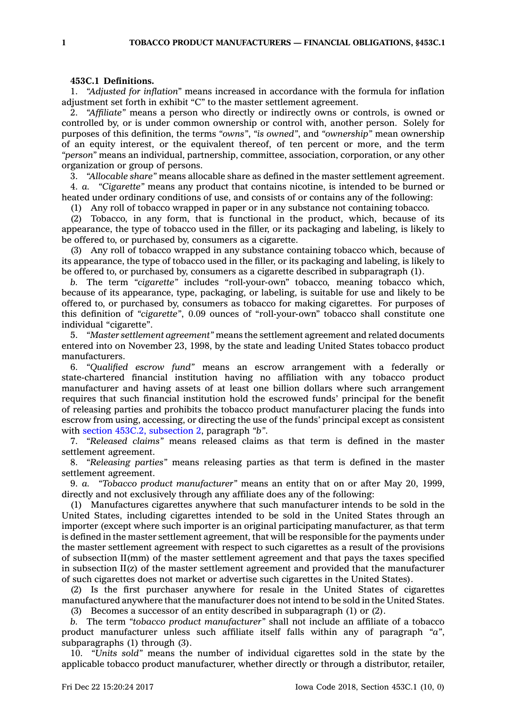## **453C.1 Definitions.**

1. *"Adjusted for inflation"* means increased in accordance with the formula for inflation adjustment set forth in exhibit "C" to the master settlement agreement.

2. *"Affiliate"* means <sup>a</sup> person who directly or indirectly owns or controls, is owned or controlled by, or is under common ownership or control with, another person. Solely for purposes of this definition, the terms *"owns"*, *"is owned"*, and *"ownership"* mean ownership of an equity interest, or the equivalent thereof, of ten percent or more, and the term *"person"* means an individual, partnership, committee, association, corporation, or any other organization or group of persons.

3. *"Allocable share"* means allocable share as defined in the master settlement agreement. 4. *a. "Cigarette"* means any product that contains nicotine, is intended to be burned or heated under ordinary conditions of use, and consists of or contains any of the following:

(1) Any roll of tobacco wrapped in paper or in any substance not containing tobacco.

(2) Tobacco, in any form, that is functional in the product, which, because of its appearance, the type of tobacco used in the filler, or its packaging and labeling, is likely to be offered to, or purchased by, consumers as <sup>a</sup> cigarette.

(3) Any roll of tobacco wrapped in any substance containing tobacco which, because of its appearance, the type of tobacco used in the filler, or its packaging and labeling, is likely to be offered to, or purchased by, consumers as <sup>a</sup> cigarette described in subparagraph (1).

*b.* The term *"cigarette"* includes "roll-your-own" tobacco, meaning tobacco which, because of its appearance, type, packaging, or labeling, is suitable for use and likely to be offered to, or purchased by, consumers as tobacco for making cigarettes. For purposes of this definition of *"cigarette"*, 0.09 ounces of "roll-your-own" tobacco shall constitute one individual "cigarette".

5. *"Master settlement agreement"* means the settlement agreement and related documents entered into on November 23, 1998, by the state and leading United States tobacco product manufacturers.

6. *"Qualified escrow fund"* means an escrow arrangement with <sup>a</sup> federally or state-chartered financial institution having no affiliation with any tobacco product manufacturer and having assets of at least one billion dollars where such arrangement requires that such financial institution hold the escrowed funds' principal for the benefit of releasing parties and prohibits the tobacco product manufacturer placing the funds into escrow from using, accessing, or directing the use of the funds' principal except as consistent with section 453C.2, [subsection](https://www.legis.iowa.gov/docs/code/453C.2.pdf) 2, paragraph *"b"*.

7. *"Released claims"* means released claims as that term is defined in the master settlement agreement.

8. *"Releasing parties"* means releasing parties as that term is defined in the master settlement agreement.

9. *a. "Tobacco product manufacturer"* means an entity that on or after May 20, 1999, directly and not exclusively through any affiliate does any of the following:

(1) Manufactures cigarettes anywhere that such manufacturer intends to be sold in the United States, including cigarettes intended to be sold in the United States through an importer (except where such importer is an original participating manufacturer, as that term is defined in the master settlement agreement, that will be responsible for the payments under the master settlement agreement with respect to such cigarettes as <sup>a</sup> result of the provisions of subsection II(mm) of the master settlement agreement and that pays the taxes specified in subsection II(z) of the master settlement agreement and provided that the manufacturer of such cigarettes does not market or advertise such cigarettes in the United States).

(2) Is the first purchaser anywhere for resale in the United States of cigarettes manufactured anywhere that the manufacturer does not intend to be sold in the United States.

(3) Becomes <sup>a</sup> successor of an entity described in subparagraph (1) or (2).

*b.* The term *"tobacco product manufacturer"* shall not include an affiliate of <sup>a</sup> tobacco product manufacturer unless such affiliate itself falls within any of paragraph *"a"*, subparagraphs (1) through (3).

10. *"Units sold"* means the number of individual cigarettes sold in the state by the applicable tobacco product manufacturer, whether directly or through <sup>a</sup> distributor, retailer,